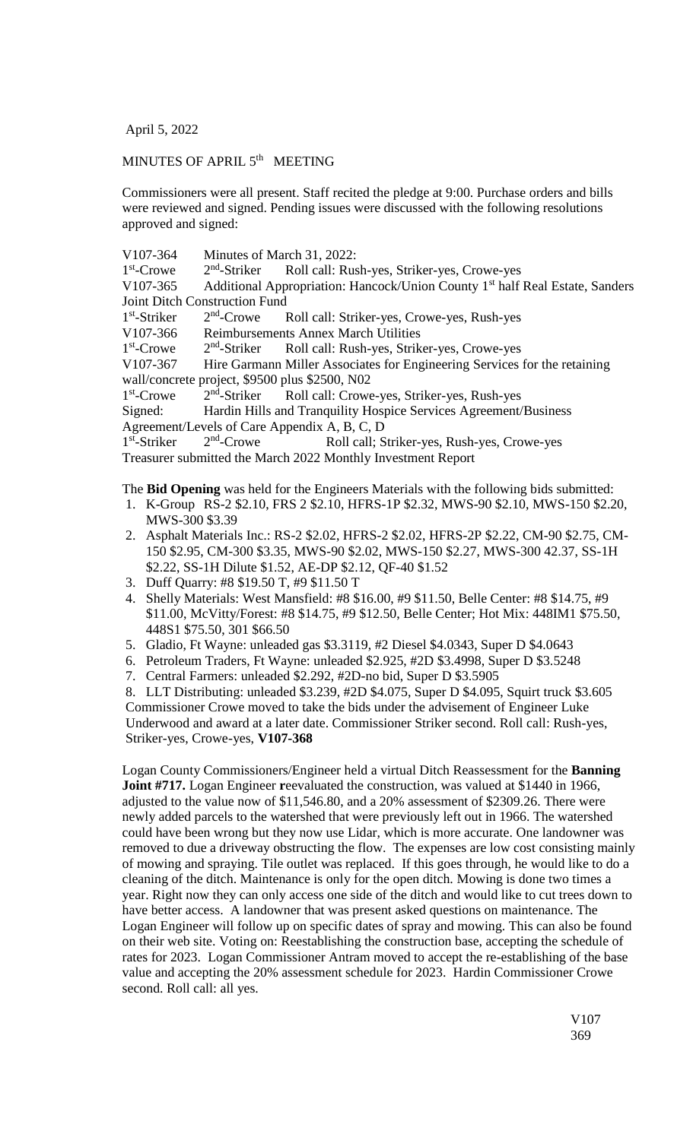April 5, 2022

## MINUTES OF APRIL 5<sup>th</sup> MEETING

Commissioners were all present. Staff recited the pledge at 9:00. Purchase orders and bills were reviewed and signed. Pending issues were discussed with the following resolutions approved and signed:

V107-364 Minutes of March 31, 2022: 1<sup>st</sup>-Crowe 2  $2<sup>nd</sup>$ -Striker Roll call: Rush-yes, Striker-yes, Crowe-yes V107-365 Additional Appropriation: Hancock/Union County 1<sup>st</sup> half Real Estate, Sanders Joint Ditch Construction Fund 1 st -Striker 2  $2<sup>nd</sup>$ -Crowe Roll call: Striker-yes, Crowe-yes, Rush-yes V107-366 Reimbursements Annex March Utilities 1<sup>st</sup>-Crowe 2  $2<sup>nd</sup>$ -Striker Roll call: Rush-yes, Striker-yes, Crowe-yes V107-367 Hire Garmann Miller Associates for Engineering Services for the retaining wall/concrete project, \$9500 plus \$2500, N02 1<sup>st</sup>-Crowe 2  $2<sup>nd</sup>$ -Striker Roll call: Crowe-yes, Striker-yes, Rush-yes Signed: Hardin Hills and Tranquility Hospice Services Agreement/Business Agreement/Levels of Care Appendix A, B, C, D 1 st -Striker 2  $2<sup>nd</sup>$ -Crowe Roll call; Striker-yes, Rush-yes, Crowe-yes Treasurer submitted the March 2022 Monthly Investment Report

The **Bid Opening** was held for the Engineers Materials with the following bids submitted:

- 1. K-Group RS-2 \$2.10, FRS 2 \$2.10, HFRS-1P \$2.32, MWS-90 \$2.10, MWS-150 \$2.20, MWS-300 \$3.39
- 2. Asphalt Materials Inc.: RS-2 \$2.02, HFRS-2 \$2.02, HFRS-2P \$2.22, CM-90 \$2.75, CM-150 \$2.95, CM-300 \$3.35, MWS-90 \$2.02, MWS-150 \$2.27, MWS-300 42.37, SS-1H \$2.22, SS-1H Dilute \$1.52, AE-DP \$2.12, QF-40 \$1.52
- 3. Duff Quarry: #8 \$19.50 T, #9 \$11.50 T
- 4. Shelly Materials: West Mansfield: #8 \$16.00, #9 \$11.50, Belle Center: #8 \$14.75, #9 \$11.00, McVitty/Forest: #8 \$14.75, #9 \$12.50, Belle Center; Hot Mix: 448IM1 \$75.50, 448S1 \$75.50, 301 \$66.50
- 5. Gladio, Ft Wayne: unleaded gas \$3.3119, #2 Diesel \$4.0343, Super D \$4.0643
- 6. Petroleum Traders, Ft Wayne: unleaded \$2.925, #2D \$3.4998, Super D \$3.5248
- 7. Central Farmers: unleaded \$2.292, #2D-no bid, Super D \$3.5905
- 8. LLT Distributing: unleaded \$3.239, #2D \$4.075, Super D \$4.095, Squirt truck \$3.605

Commissioner Crowe moved to take the bids under the advisement of Engineer Luke Underwood and award at a later date. Commissioner Striker second. Roll call: Rush-yes, Striker-yes, Crowe-yes, **V107-368**

Logan County Commissioners/Engineer held a virtual Ditch Reassessment for the **Banning Joint #717.** Logan Engineer **r**eevaluated the construction, was valued at \$1440 in 1966, adjusted to the value now of \$11,546.80, and a 20% assessment of \$2309.26. There were newly added parcels to the watershed that were previously left out in 1966. The watershed could have been wrong but they now use Lidar, which is more accurate. One landowner was removed to due a driveway obstructing the flow. The expenses are low cost consisting mainly of mowing and spraying. Tile outlet was replaced. If this goes through, he would like to do a cleaning of the ditch. Maintenance is only for the open ditch. Mowing is done two times a year. Right now they can only access one side of the ditch and would like to cut trees down to have better access. A landowner that was present asked questions on maintenance. The Logan Engineer will follow up on specific dates of spray and mowing. This can also be found on their web site. Voting on: Reestablishing the construction base, accepting the schedule of rates for 2023. Logan Commissioner Antram moved to accept the re-establishing of the base value and accepting the 20% assessment schedule for 2023. Hardin Commissioner Crowe second. Roll call: all yes.